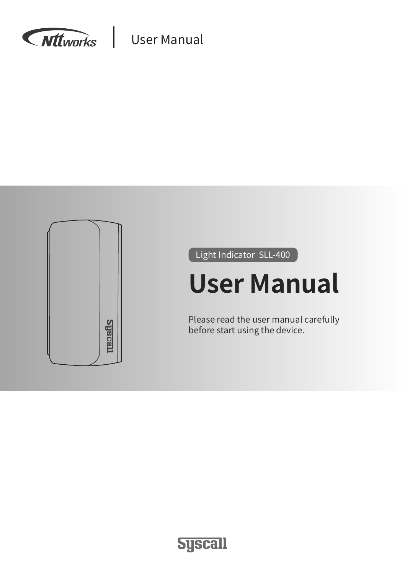



Light Indicator SLL-400

# **User Manual**

Please read the user manual carefully before start using the device.

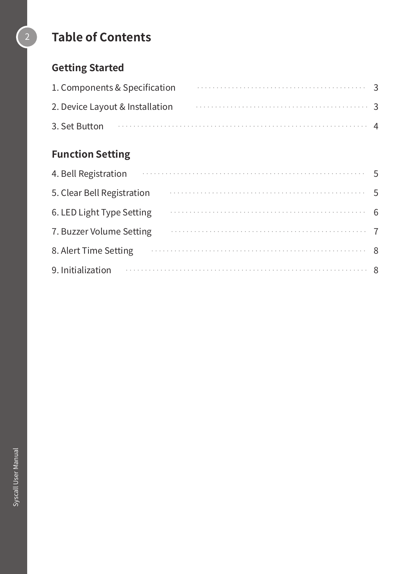## 2 **Table of Contents**

## **Getting Started**

|                                 | 1. Components & Specification <b>Components</b> & Specification                                                                                                                                                                      |  |  |  |  |  |  |  |
|---------------------------------|--------------------------------------------------------------------------------------------------------------------------------------------------------------------------------------------------------------------------------------|--|--|--|--|--|--|--|
| 2. Device Layout & Installation |                                                                                                                                                                                                                                      |  |  |  |  |  |  |  |
|                                 | 3. Set Button <b>contract the contract of the contract of the contract of the contract of the contract of the contract of the contract of the contract of the contract of the contract of the contract of the contract of the co</b> |  |  |  |  |  |  |  |

## **Function Setting**

| 4. Bell Registration and the contract of the set of the set of the set of the set of the set of the set of the |  |  |  |  |  |  |  |  |  |  |
|----------------------------------------------------------------------------------------------------------------|--|--|--|--|--|--|--|--|--|--|
| 5. Clear Bell Registration                                                                                     |  |  |  |  |  |  |  |  |  |  |
| 6. LED Light Type Setting                                                                                      |  |  |  |  |  |  |  |  |  |  |
| 7. Buzzer Volume Setting                                                                                       |  |  |  |  |  |  |  |  |  |  |
| 8. Alert Time Setting                                                                                          |  |  |  |  |  |  |  |  |  |  |
| 9. Initialization 8                                                                                            |  |  |  |  |  |  |  |  |  |  |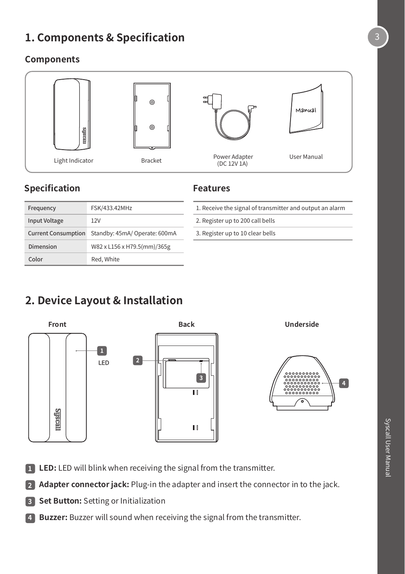## **1. Components & Specification**

#### **Components**



#### **Specification**

#### **Features**

| Frequency                  | FSK/433.42MHz                 |
|----------------------------|-------------------------------|
| <b>Input Voltage</b>       | 12V                           |
| <b>Current Consumption</b> | Standby: 45mA/ Operate: 600mA |
| Dimension                  | W82 x L156 x H79.5(mm)/365g   |
| Color                      | Red. White                    |

| 1. Receive the signal of transmitter and output an alarm |  |
|----------------------------------------------------------|--|
| 2. Register up to 200 call bells                         |  |

3. Register up to 10 clear bells

## **2. Device Layout & Installation**



- **1 LED:** LED will blink when receiving the signal from the transmitter.
- **2 Adapter connector jack:** Plug-in the adapter and insert the connector in to the jack.
- **3 Set Button:** Setting or Initialization
- **4 Buzzer:** Buzzer will sound when receiving the signal from the transmitter.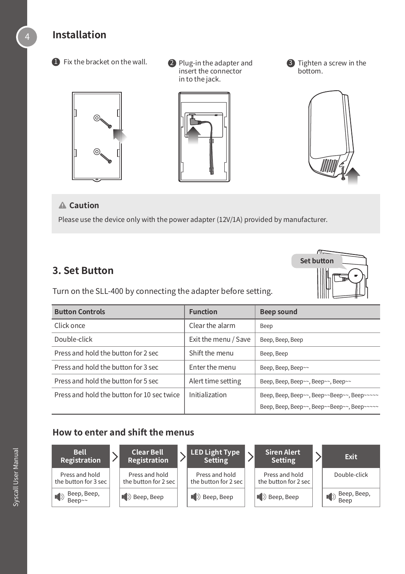#### **Installation**



**D** Fix the bracket on the wall.  $\bullet$  Plug-in the adapter and insert the connector in to the jack.

**O** Tighten a screw in the bottom.



#### **Caution**

Please use the device only with the power adapter (12V/1A) provided by manufacturer.

#### **3. Set Button**

Turn on the SLL-400 by connecting the adapter before setting.



| <b>Button Controls</b>                     | <b>Function</b>      | Beep sound                                  |
|--------------------------------------------|----------------------|---------------------------------------------|
| Click once                                 | Clear the alarm      | Beep                                        |
| Double-click                               | Exit the menu / Save | Beep, Beep, Beep                            |
| Press and hold the button for 2 sec        | Shift the menu       | Beep, Beep                                  |
| Press and hold the button for 3 sec        | Enter the menu       | Beep, Beep, Beep~~                          |
| Press and hold the button for 5 sec        | Alert time setting   | Beep, Beep, Beep~~, Beep~~, Beep~~          |
| Press and hold the button for 10 sec twice | Initialization       | Beep, Beep, Beep~~, Beep~~Beep~~, Beep~~~~~ |
|                                            |                      | Beep, Beep, Beep~~, Beep~~Beep~~, Beep~~~~~ |

#### **How to enter and shift the menus**

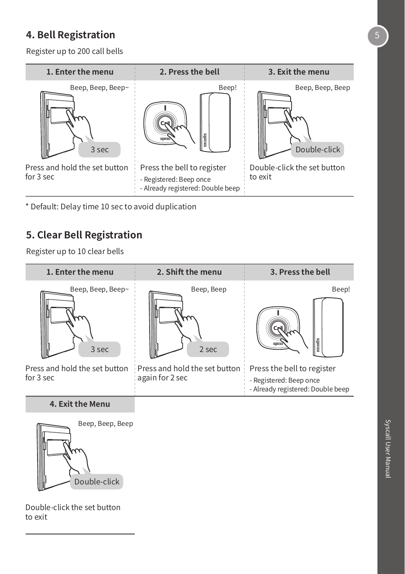## **4. Bell Registration**

Register up to 200 call bells



\* Default: Delay time 10 sec to avoid duplication

#### **5. Clear Bell Registration**

Register up to 10 clear bells

| 1. Enter the menu                          | 2. Shift the menu                                | 3. Press the bell                                                                          |  |  |  |  |  |
|--------------------------------------------|--------------------------------------------------|--------------------------------------------------------------------------------------------|--|--|--|--|--|
| Beep, Beep, Beep~<br>3 sec                 | Beep, Beep<br>2 sec                              | Beep!<br>asfis                                                                             |  |  |  |  |  |
| Press and hold the set button<br>for 3 sec | Press and hold the set button<br>again for 2 sec | Press the bell to register<br>- Registered: Beep once<br>- Already registered: Double beep |  |  |  |  |  |

#### **4. Exit the Menu**



Double-click the set button to exit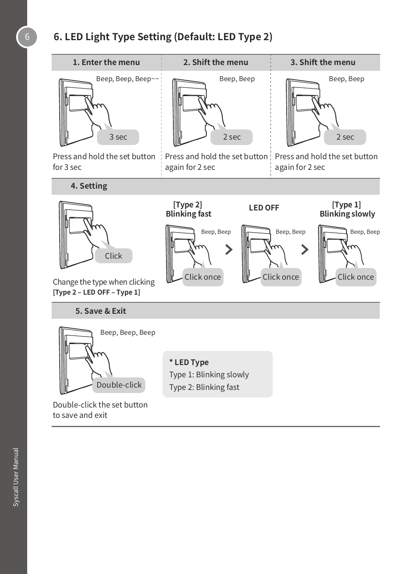## 6 **6. LED Light Type Setting (Default: LED Type 2)**

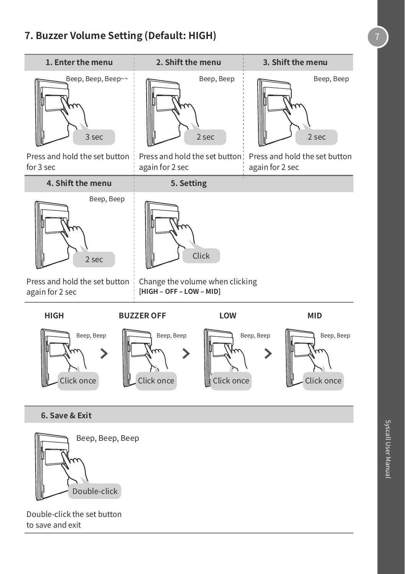#### **7. Buzzer Volume Setting (Default: HIGH)** 7



**6. Save & Exit**



Double-click the set button to save and exit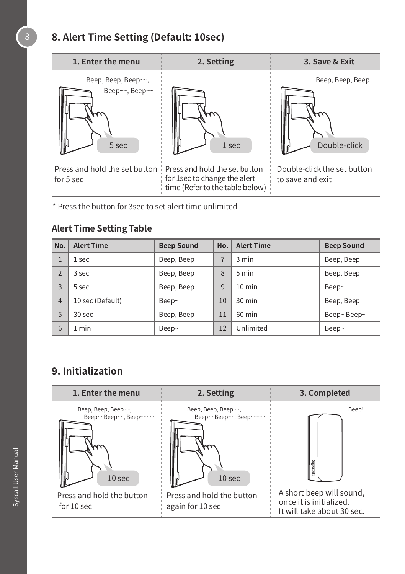## **8. Alert Time Setting (Default: 10sec)**



\* Press the button for 3sec to set alert time unlimited

#### **Alert Time Setting Table**

| No.            | <b>Alert Time</b> | <b>Beep Sound</b> | No. | <b>Alert Time</b> | <b>Beep Sound</b> |
|----------------|-------------------|-------------------|-----|-------------------|-------------------|
|                | 1 sec             | Beep, Beep        |     | 3 min             | Beep, Beep        |
| $\overline{2}$ | 3 sec             | Beep, Beep        | 8   | 5 min             | Beep, Beep        |
| 3              | 5 sec             | Beep, Beep        | 9   | $10 \text{ min}$  | Beep~             |
| $\overline{4}$ | 10 sec (Default)  | Beep~             | 10  | $30 \text{ min}$  | Beep, Beep        |
| 5              | 30 <sub>sec</sub> | Beep, Beep        | 11  | $60$ min          | Beep~ Beep~       |
| 6              | 1 min             | Beep~             | 12  | Unlimited         | Beep~             |

## **9. Initialization**

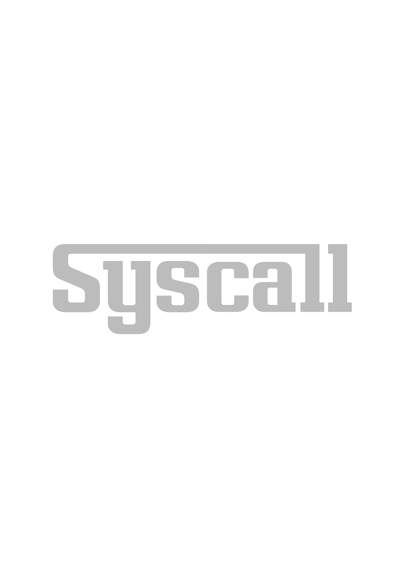